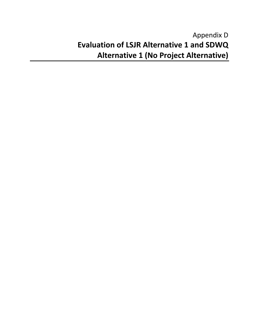# Appendix D **Evaluation of LSJR Alternative 1 and SDWQ Alternative 1 (No Project Alternative)**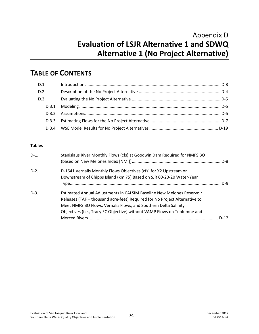## Appendix D **Evaluation of LSJR Alternative 1 and SDWQ Alternative 1 (No Project Alternative)**

## **TABLE OF CONTENTS**

| D.1   |  |
|-------|--|
| D.2   |  |
| D.3   |  |
| D.3.1 |  |
|       |  |
| D.3.3 |  |
|       |  |

#### **Tables**

| $D-1$ . | Stanislaus River Monthly Flows (cfs) at Goodwin Dam Required for NMFS BO                                                                                                                                                                                                                           |      |
|---------|----------------------------------------------------------------------------------------------------------------------------------------------------------------------------------------------------------------------------------------------------------------------------------------------------|------|
| $D-2$ . | D-1641 Vernalis Monthly Flows Objectives (cfs) for X2 Upstream or<br>Downstream of Chipps Island (km 75) Based on SJR 60-20-20 Water-Year                                                                                                                                                          |      |
| $D-3$ . | Estimated Annual Adjustments in CALSIM Baseline New Melones Reservoir<br>Releases (TAF = thousand acre-feet) Required for No Project Alternative to<br>Meet NMFS BO Flows, Vernalis Flows, and Southern Delta Salinity<br>Objectives (i.e., Tracy EC Objective) without VAMP Flows on Tuolumne and |      |
|         |                                                                                                                                                                                                                                                                                                    | D-12 |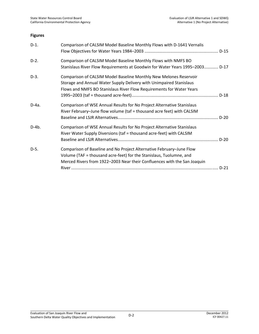#### **Figures**

| $D-1.$ | Comparison of CALSIM Model Baseline Monthly Flows with D-1641 Vernalis                                                                                                                                                  |        |
|--------|-------------------------------------------------------------------------------------------------------------------------------------------------------------------------------------------------------------------------|--------|
| $D-2.$ | Comparison of CALSIM Model Baseline Monthly Flows with NMFS BO<br>Stanislaus River Flow Requirements at Goodwin for Water Years 1995-2003 D-17                                                                          |        |
| $D-3.$ | Comparison of CALSIM Model Baseline Monthly New Melones Reservoir<br>Storage and Annual Water Supply Delivery with Unimpaired Stanislaus<br>Flows and NMFS BO Stanislaus River Flow Requirements for Water Years        |        |
| D-4a.  | Comparison of WSE Annual Results for No Project Alternative Stanislaus<br>River February-June flow volume (taf = thousand acre feet) with CALSIM                                                                        |        |
| D-4b.  | Comparison of WSE Annual Results for No Project Alternative Stanislaus<br>River Water Supply Diversions (taf = thousand acre-feet) with CALSIM                                                                          |        |
| D-5.   | Comparison of Baseline and No Project Alternative February-June Flow<br>Volume (TAF = thousand acre-feet) for the Stanislaus, Tuolumne, and<br>Merced Rivers from 1922-2003 Near their Confluences with the San Joaquin | $D-21$ |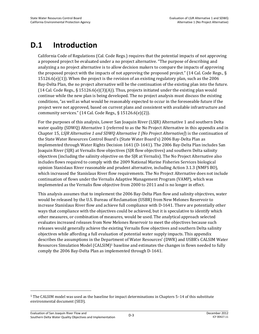## **D.1 Introduction**

California Code of Regulations (Cal. Code Regs.) requires that the potential impacts of not approving a proposed project be evaluated under a no project alternative. "The purpose of describing and analyzing a no project alternative is to allow decision makers to compare the impacts of approving the proposed project with the impacts of not approving the proposed project." (14 Cal. Code Regs., §  $15126.6(e)(1)$ ). When the project is the revision of an existing regulatory plan, such as the 2006 Bay-Delta Plan, the no project alternative will be the continuation of the existing plan into the future.  $(14$  Cal. Code Regs., § 15126.6(e)(3)(A)). Thus, projects initiated under the existing plan would continue while the new plan is being developed. The no project analysis must discuss the existing conditions, "as well as what would be reasonably expected to occur in the foreseeable future if the project were not approved, based on current plans and consistent with available infrastructure and community services."  $(14$  Cal. Code Regs., §  $15126.6(e)(2)$ ).

For the purposes of this analysis, Lower San Joaquin River (LSJR) Alternative 1 and southern Delta water quality (SDWQ) Alternative 1 (referred to as the No Project Alternative in this appendix and in Chapter 15, *LSJR Alternative 1 and SDWQ Alternative 1 [No Project Alternative]*) is the continuation of the State Water Resources Control Board's (State Water Board's) 2006 Bay-Delta Plan as implemented through Water Rights Decision 1641 (D-1641). The 2006 Bay-Delta Plan includes San Joaquin River (SJR) at Vernalis flow objectives (SJR flow objectives) and southern Delta salinity objectives (including the salinity objective on the SJR at Vernalis). The No Project Alternative also includes flows required to comply with the 2009 National Marine Fisheries Services biological opinion Stanislaus River reasonable and prudent alternative, including Action 3.1.3 (NMFS BO), which increased the Stanislaus River flow requirements. The No Project Alternative does not include continuation of flows under the Vernalis Adaptive Management Program (VAMP), which was implemented as the Vernalis flow objective from 2000 to 2011 and is no longer in effect.

This analysis assumes that to implement the 2006 Bay-Delta Plan flow and salinity objectives, water would be released by the U.S. Bureau of Reclamation (USBR) from New Melones Reservoir to increase Stanislaus River flow and achieve full compliance with D-1641. There are potentially other ways that compliance with the objectives could be achieved, but it is speculative to identify which other measures, or combination of measures, would be used. The analytical approach selected evaluates increased releases from New Melones Reservoir to meet the objectives because such releases would generally achieve the existing Vernalis flow objectives and southern Delta salinity objectives while affording a full evaluation of potential water supply impacts. This appendix describes the assumptions in the Department of Water Resources' (DWR) and USBR's CALSIM Water Resources Simulation Model (CALSIM)<sup>1</sup> baseline and estimates the changes in flows needed to fully comply the 2006 Bay-Delta Plan as implemented through D-1641.

 $\overline{a}$ 

<sup>1</sup> The CALSIM model was used as the baseline for impact determinations in Chapters 5–14 of this substitute environmental document (SED).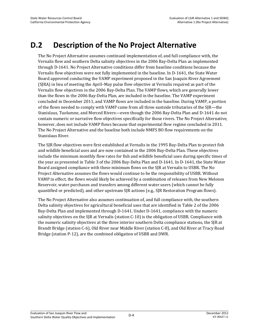## **D.2 Description of the No Project Alternative**

The No Project Alternative assumes continued implementation of, and full compliance with, the Vernalis flow and southern Delta salinity objectives in the 2006 Bay-Delta Plan as implemented through D-1641. No Project Alternative conditions differ from baseline conditions because the Vernalis flow objectives were not fully implemented in the baseline. In D-1641, the State Water Board approved conducting the VAMP experiment proposed in the San Joaquin River Agreement (SJRA) in lieu of meeting the April–May pulse flow objective at Vernalis required as part of the Vernalis flow objectives in the 2006 Bay-Delta Plan. The VAMP flows, which are generally lower than the flows in the 2006 Bay-Delta Plan, are included in the baseline. The VAMP experiment concluded in December 2011, and VAMP flows are included in the baseline. During VAMP, a portion of the flows needed to comply with VAMP came from all three eastside tributaries of the SJR—the Stanislaus, Tuolumne, and Merced Rivers—even though the 2006 Bay-Delta Plan and D-1641 do not contain numeric or narrative flow objectives specifically for those rivers. The No Project Alternative, however, does not include VAMP flows because that experimental flow regime concluded in 2011. The No Project Alternative and the baseline both include NMFS BO flow requirements on the Stanislaus River.

The SJR flow objectives were first established at Vernalis in the 1995 Bay-Delta Plan to protect fish and wildlife beneficial uses and are now contained in the 2006 Bay-Delta Plan. These objectives include the minimum monthly flow rates for fish and wildlife beneficial uses during specific times of the year as presented in Table 3 of the 2006 Bay-Delta Plan and D-1641. In D-1641, the State Water Board assigned compliance with these minimum flows on the SJR at Vernalis to USBR. The No Project Alternative assumes the flows would continue to be the responsibility of USBR. Without VAMP in effect, the flows would likely be achieved by a combination of releases from New Melones Reservoir, water purchases and transfers among different water users (which cannot be fully quantified or predicted), and other upstream SJR actions (e.g., SJR Restoration Program flows).

The No Project Alternative also assumes continuation of, and full compliance with, the southern Delta salinity objectives for agricultural beneficial uses that are identified in Table 2 of the 2006 Bay-Delta Plan and implemented through D-1641. Under D-1641, compliance with the numeric salinity objectives on the SJR at Vernalis (station C-10) is the obligation of USBR. Compliance with the numeric salinity objectives at the three interior southern Delta compliance stations, the SJR at Brandt Bridge (station C-6), Old River near Middle River (station C-8), and Old River at Tracy Road Bridge (station P-12), are the combined obligation of USBR and DWR.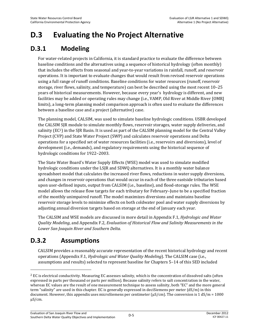# **D.3 Evaluating the No Project Alternative**

### **D.3.1 Modeling**

For water-related projects in California, it is standard practice to evaluate the difference between baseline conditions and the alternatives using a sequence of historical hydrology (often monthly) that includes the effects from seasonal and year-to-year variations in rainfall, runoff, and reservoir operations. It is important to evaluate changes that would result from revised reservoir operations using a full range of runoff conditions. Baseline conditions for water resources (runoff, reservoir storage, river flows, salinity, and temperature) can best be described using the most recent 10–25 years of historical measurements. However, because every year's hydrology is different, and new facilities may be added or operating rules may change (i.e., VAMP, Old River at Middle River [OMR] limits), a long-term planning model comparison approach is often used to evaluate the differences between a baseline case and a project (alternative) case.

The planning model, CALSIM, was used to simulate baseline hydrologic conditions. USBR developed the CALSIM SJR module to simulate monthly flows, reservoir storages, water supply deliveries, and salinity (EC2) in the SJR Basin. It is used as part of the CALSIM planning model for the Central Valley Project (CVP) and State Water Project (SWP) and calculates reservoir operations and Delta operations for a specified set of water resources facilities (i.e., reservoirs and diversions), level of development (i.e., demands), and regulatory requirements using the historical sequence of hydrologic conditions for 1922–2003.

The State Water Board's Water Supply Effects (WSE) model was used to simulate modified hydrologic conditions under the LSJR and SDWQ alternatives. It is a monthly water balance spreadsheet model that calculates the increased river flows, reductions in water supply diversions, and changes in reservoir operations that would occur in each of the three eastside tributaries based upon user-defined inputs, output from CALSIM (i.e., baseline), and flood-storage rules. The WSE model allows the release flow targets for each tributary for February–June to be a specified fraction of the monthly unimpaired runoff. The model maximizes diversions and maintains baseline reservoir storage levels to minimize effects on both coldwater pool and water supply diversions by adjusting annual diversion targets based on storage at the end of January each year.

The CALSIM and WSE models are discussed in more detail in Appendix F.1, *Hydrologic and Water Quality Modeling*, and Appendix F.2, *Evaluation of Historical Flow and Salinity Measurements in the Lower San Joaquin River and Southern Delta.*

## **D.3.2 Assumptions**

l

CALSIM provides a reasonably accurate representation of the recent historical hydrology and recent operations (Appendix F.1, *Hydrologic and Water Quality Modeling*). The CALSIM case (i.e., assumptions and results) selected to represent baseline for Chapters 5–14 of this SED included

 $2$  EC is electrical conductivity. Measuring EC assesses salinity, which is the concentration of dissolved salts (often expressed in parts per thousand or parts per million). Because salinity refers to salt concentration in the water, whereas EC values are the result of one measurement technique to assess salinity, both "EC" and the more general term "salinity" are used in this chapter. EC is generally expressed in deciSiemens per meter (dS/m) in this document. However, this appendix uses microSiemens per centimeter ( $\mu$ S/cm). The conversion is 1 dS/m = 1000 µS/cm.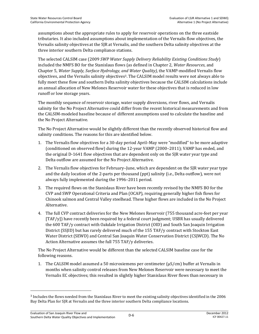assumptions about the appropriate rules to apply for reservoir operations on the three eastside tributaries. It also included assumptions about implementation of the Vernalis flow objectives, the Vernalis salinity objectives at the SJR at Vernalis, and the southern Delta salinity objectives at the three interior southern Delta compliance stations.

The selected CALSIM case (2009 *SWP Water Supply Delivery Reliability Existing Conditions Study*) included the NMFS BO for the Stanislaus flows (as defined in Chapter 2, *Water Resources*, and Chapter 5, *Water Supply, Surface Hydrology, and Water Quality)*, the VAMP-modified Vernalis flow objectives, and the Vernalis salinity objectives<sup>3</sup>. The CALSIM model results were not always able to fully meet these flow and southern Delta salinity objectives because the CALSIM calculations include an annual allocation of New Melones Reservoir water for these objectives that is reduced in low runoff or low storage years.

The monthly sequence of reservoir storage, water supply diversions, river flows, and Vernalis salinity for the No Project Alternative could differ from the recent historical measurements and from the CALSIM-modeled baseline because of different assumptions used to calculate the baseline and the No Project Alternative.

The No Project Alternative would be slightly different than the recently observed historical flow and salinity conditions. The reasons for this are identified below.

- 1. The Vernalis flow objectives for a 30-day period April–May were "modified" to be more adaptive (conditioned on observed flow) during the 12-year VAMP (2000–2011); VAMP has ended, and the original D-1641 flow objectives that are dependent only on the SJR water year type and Delta outflow are assumed for the No Project Alternative.
- 2. The Vernalis flow objectives for February–June, which are dependent on the SJR water year type and the daily location of the 2-parts per thousand (ppt) salinity (i.e., Delta outflow), were not always fully implemented during the 1996–2011 period.
- 3. The required flows on the Stanislaus River have been recently revised by the NMFS BO for the CVP and SWP Operational Criteria and Plan (OCAP), requiring generally higher fish flows for Chinook salmon and Central Valley steelhead. These higher flows are included in the No Project Alternative.
- 4. The full CVP contract deliveries for the New Melones Reservoir (755 thousand acre-feet per year [TAF/y]) have recently been required by a federal court judgment; USBR has usually delivered the 600 TAF/y contract with Oakdale Irrigation District (OID) and South San Joaquin Irrigation District (SSJID) but has rarely delivered much of the 155 TAF/y contract with Stockton East Water District (SEWD) and Central San Joaquin Water Conservation District (CSJWCD). The No Action Alternative assumes the full 755 TAF/y deliveries.

The No Project Alternative would be different than the selected CALSIM baseline case for the following reasons.

1. The CALSIM model assumed a 50 microsiemens per centimeter ( $\mu S/cm$ ) buffer at Vernalis in months when salinity control releases from New Melones Reservoir were necessary to meet the Vernalis EC objectives; this resulted in slightly higher Stanislaus River flows than necessary in

 $\overline{a}$ 

<sup>3</sup> Includes the flows needed from the Stanislaus River to meet the existing salinity objectives identified in the 2006 Bay Delta Plan for SJR at Vernalis and the three interior southern Delta compliance locations.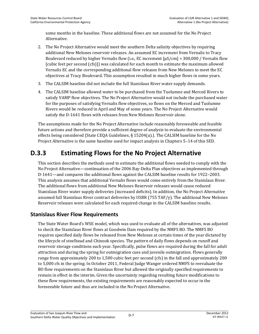some months in the baseline. These additional flows are not assumed for the No Project Alternative.

- 2. The No Project Alternative would meet the southern Delta salinity objectives by requiring additional New Melones reservoir releases. An assumed EC increment from Vernalis to Tracy Boulevard reduced by higher Vernalis flow (i.e., EC increment  $\left[\mu S/cm\right] = 300,000$  / Vernalis flow [cubic feet per second (cfs)]) was calculated for each month to estimate the maximum allowed Vernalis EC and the corresponding additional flow releases from New Melones to meet the EC objectives at Tracy Boulevard. This assumption resulted in much higher flows in some years.
- 3. The CALSIM baseline did not include the full Stanislaus River water supply demands.
- 4. The CALSIM baseline allowed water to be purchased from the Tuolumne and Merced Rivers to satisfy VAMP flow objectives. The No Project Alternative would not include the purchased water for the purposes of satisfying Vernalis flow objectives, so flows on the Merced and Tuolumne Rivers would be reduced in April and May of some years. The No Project Alternative would satisfy the D-1641 flows with releases from New Melones Reservoir alone.

The assumptions made for the No Project Alternative include reasonably foreseeable and feasible future actions and therefore provide a sufficient degree of analysis to evaluate the environmental effects being considered (State CEQA Guidelines, § 15204(a).). The CALSIM baseline for the No Project Alternative is the same baseline used for impact analysis in Chapters 5–14 of this SED.

## **D.3.3 Estimating Flows for the No Project Alternative**

This section describes the methods used to estimate the additional flows needed to comply with the No Project Alternative—continuation of the 2006 Bay-Delta Plan objectives as implemented through D-1641—and compares the additional flows against the CALSIM baseline results for 1922–2003. This analysis assumes that additional Vernalis flows would come entirely from the Stanislaus River. The additional flows from additional New Melones Reservoir releases would cause reduced Stanislaus River water supply deliveries (increased deficits). In addition, the No Project Alternative assumed full Stanislaus River contract deliveries by USBR (755 TAF/y). The additional New Melones Reservoir releases were calculated for each required change in the CALSIM baseline results.

### **Stanislaus River Flow Requirements**

The State Water Board's WSE model, which was used to evaluate all of the alternatives, was adjusted to check the Stanislaus River flows at Goodwin Dam required by the NMFS BO. The NMFS BO requires specified daily flows be released from New Melones at certain times of the year dictated by the lifecycle of steelhead and Chinook species. The pattern of daily flows depends on runoff and reservoir storage conditions each year. Specifically, pulse flows are required during the fall for adult attraction and during the spring for outmigration cues and juvenile outmigration. Flows generally range from approximately 200 to 1,500 cubic feet per second (cfs) in the fall and approximately 200 to 5,000 cfs in the spring. In October 2011, Federal Judge Wanger ordered NMFS to reevaluate the BO flow requirements on the Stanislaus River but allowed the originally specified requirements to remain in effect in the interim. Given the uncertainty regarding resulting future modifications to these flow requirements, the existing requirements are reasonably expected to occur in the foreseeable future and thus are included in the No Project Alternative.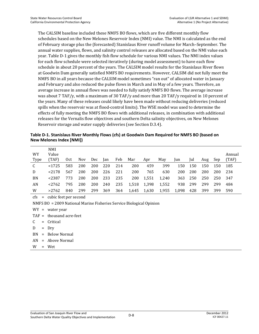The CALSIM baseline included these NMFS BO flows, which are five different monthly flow schedules based on the New Melones Reservoir Index (NMI) value. The NMI is calculated as the end of February storage plus the (forecasted) Stanislaus River runoff volume for March–September. The annual water supplies, flows, and salinity control releases are allocated based on the NMI value each year. Table D-1 gives the monthly fish flow schedule for various NMI values. The NMI index values for each flow schedule were selected iteratively (during model assessment) to have each flow schedule in about 20 percent of the years. The CALSIM model results for the Stanislaus River flows at Goodwin Dam generally satisfied NMFS BO requirements. However, CALSIM did not fully meet the NMFS BO in all years because the CALSIM model sometimes "ran out" of allocated water in January and February and also reduced the pulse flows in March and in May of a few years. Therefore, an average increase in annual flows was needed to fully satisfy NMFS BO flows. The average increase was about 7 TAF/y, with a maximum of 30 TAF/y and more than 20 TAF/y required in 10 percent of the years. Many of these releases could likely have been made without reducing deliveries (reduced spills when the reservoir was at flood-control limits). The WSE model was used to determine the effects of fully meeting the NMFS BO flows with additional releases, in combination with additional releases for the Vernalis flow objectives and southern Delta salinity objectives, on New Melones Reservoir storage and water supply deliveries (see Section D.3.4).

**Table D-1. Stanislaus River Monthly Flows (cfs) at Goodwin Dam Required for NMFS BO (based on New Melones Index [NMI])** 

| WY<br><b>Type</b> | <b>NMI</b><br>Value<br>(TAF) | 0ct | <b>Nov</b> | <b>Dec</b> | lan | Feb | Mar   | Apr   | May   | Jun   | Jul | Aug | Sep | Annual<br>(TAF) |
|-------------------|------------------------------|-----|------------|------------|-----|-----|-------|-------|-------|-------|-----|-----|-----|-----------------|
| C                 | < 1725                       | 583 | 200        | 200        | 220 | 214 | 200   | 459   | 399   | 150   | 150 | 150 | 150 | 185             |
| D                 | < 2178                       | 567 | 200        | 200        | 226 | 221 | 200   | 765   | 630   | 200   | 200 | 200 | 200 | 234             |
| BN                | < 2387                       | 773 | 200        | 200        | 233 | 235 | 200   | 1,551 | 1,240 | 363   | 250 | 250 | 250 | 347             |
| AN                | < 2762                       | 795 | 200        | 200        | 240 | 235 | 1,518 | 1,398 | 1,552 | 938   | 299 | 299 | 299 | 484             |
| W                 | >2762                        | 840 | 299        | 299        | 369 | 364 | 1,645 | 1,630 | 1,955 | 1,098 | 428 | 399 | 399 | 590             |

cfs = cubic feet per second

NMFS BO = 2009 National Marine Fisheries Service Biological Opinion

WY = water year

TAF = thousand acre-feet

- C = Critical
- $D = Dry$
- BN = Below Normal
- AN = Above Normal

W = Wet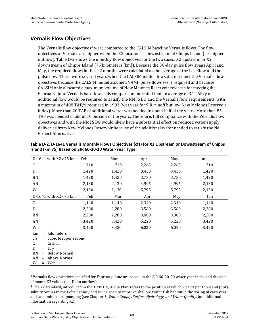#### **Vernalis Flow Objectives**

The Vernalis flow objectives<sup>4</sup> were compared to the CALSIM baseline Vernalis flows. The flow objectives at Vernalis are higher when the X2 location<sup>5</sup> is downstream of Chipps Island (i.e., higher outflow). Table D-2 shows the monthly flow objectives for the two cases: X2 upstream or X2 downstream of Chipps Island (75 kilometers [km]). Because the 30-day pulse flow spans April and May, the required flows in these 2 months were calculated as the average of the baseflow and the pulse flow. There were several years when the CALSIM model flows did not meet the Vernalis flow objectives because the CALSIM model assumed VAMP pulse flows were required and because CALSIM only allocated a maximum volume of New Melones Reservoir releases for meeting the February–June Vernalis baseflow. This comparison indicated that an average of 34 TAF/y of additional flow would be required to satisfy the NMFS BO and the Vernalis flow requirements, with a maximum of 408 TAF/y required in 1993 (wet year for SJR runoff but low New Melones Reservoir index). More than 20 TAF of additional water was needed in about half of the years. More than 85 TAF was needed in about 10 percent of the years. Therefore, full compliance with the Vernalis flow objectives and with the NMFS BO would likely have a substantial effect on reduced water supply deliveries from New Melones Reservoir because of the additional water needed to satisfy the No Project Alternative.

| D-1641 with $X2 > 75$ km | Feb   | Mar   | Apr   | May   | Jun   |  |  |
|--------------------------|-------|-------|-------|-------|-------|--|--|
| $\mathsf{C}$             | 710   | 710   | 2,265 | 2,265 | 710   |  |  |
| D                        | 1,420 | 1,420 | 3,430 | 3,430 | 1,420 |  |  |
| BN                       | 1,420 | 1,420 | 3,730 | 3,730 | 1,420 |  |  |
| AN                       | 2,130 | 2,130 | 4,995 | 4,995 | 2,130 |  |  |
| W                        | 2,130 | 2,130 | 5,795 | 5,795 | 2,130 |  |  |
| D-1641 with X2 <75 km    | Feb   | Mar   | Apr   | May   | Jun   |  |  |
| C                        | 1,140 | 1,140 | 2,340 | 2,340 | 1,140 |  |  |
| D                        | 2,280 | 2,280 | 3,580 | 3,580 | 2,280 |  |  |
| BN                       | 2,280 | 2,280 | 3,880 | 3,880 | 2,280 |  |  |
| AN                       | 3,420 | 3,420 | 5,220 | 5,220 | 3,420 |  |  |
| W                        | 3,420 | 3,420 | 6,020 | 6,020 | 3,420 |  |  |
| kilometers<br>km<br>$=$  |       |       |       |       |       |  |  |

**Table D-2. D-1641 Vernalis Monthly Flows Objectives (cfs) for X2 Upstream or Downstream of Chipps Island (km 75) Based on SJR 60-20-20 Water-Year Type** 

| v v | J.TZ                    |
|-----|-------------------------|
| km  | $=$ kilometers          |
| cfs | = cubic feet per second |
|     | $C =$ Critical          |
| D   | $= Drv$                 |
|     | $BN = Below Normal$     |
| AN  | $=$ Above Normal        |
|     | $=$ Wet                 |

 $\overline{\phantom{0}}$ 

4 Vernalis flow objectives specified for February–June are based on the SJR 60-20-20 water year index and the endof month X2 values (i.e., Delta outflow).

5 The X2 standard, introduced in the 1995 Bay-Delta Plan, refers to the position at which 2 parts per thousand (ppt) salinity occurs in the Delta estuary and is designed to improve shallow-water fish habitat in the spring of each year and can limit export pumping (see Chapter 5, *Water Supply, Surface Hydrology, and Water Quality*, for additional information regarding X2).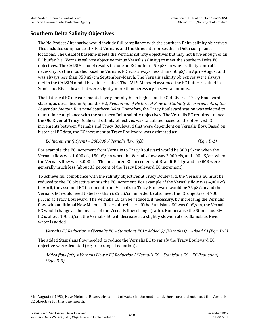### **Southern Delta Salinity Objectives**

The No Project Alternative would include full compliance with the southern Delta salinity objectives. This includes compliance at SJR at Vernalis and the three interior southern Delta compliance locations. The CALSIM baseline meets the Vernalis salinity objectives but may not have enough of an EC buffer (i.e., Vernalis salinity objective minus Vernalis salinity) to meet the southern Delta EC objectives. The CALSIM model results include an EC buffer of 50 µS/cm when salinity control is necessary, so the modeled baseline Vernalis EC was always less than 650 µS/cm April–August and was always less than 950 µS/cm September–March. The Vernalis salinity objectives were always met in the CALSIM model baseline results.6 The CALSIM model assumed the EC buffer resulted in Stanislaus River flows that were slightly more than necessary in several months.

The historical EC measurements have generally been highest at the Old River at Tracy Boulevard station, as described in Appendix F.2, *Evaluation of Historical Flow and Salinity Measurements of the Lower San Joaquin River and Southern Delta*. Therefore, the Tracy Boulevard station was selected to determine compliance with the southern Delta salinity objectives. The Vernalis EC required to meet the Old River at Tracy Boulevard salinity objectives was calculated based on the observed EC increments between Vernalis and Tracy Boulevard that were dependent on Vernalis flow. Based on historical EC data, the EC increment at Tracy Boulevard was estimated as:

*EC Increment* (
$$
\mu
$$
*S/cm*) = 300,000 / *Vernalis flow* (*cfs*)

*EC Increment (µS/cm) = 300,000 / Vernalis flow (cfs) (Eqn. D-1)*

For example, the EC increment from Vernalis to Tracy Boulevard would be 300 µS/cm when the Vernalis flow was 1,000 cfs, 150  $\mu$ S/cm when the Vernalis flow was 2,000 cfs, and 100  $\mu$ S/cm when the Vernalis flow was 3,000 cfs. The measured EC increments at Brandt Bridge and in OMR were generally much less (about 33 percent of the Tracy Boulevard EC increment).

To achieve full compliance with the salinity objectives at Tracy Boulevard, the Vernalis EC must be reduced to the EC objective minus the EC increment. For example, if the Vernalis flow was 4,000 cfs in April, the assumed EC increment from Vernalis to Tracy Boulevard would be 75 µS/cm and the Vernalis EC would need to be less than 625 µS/cm in order to also meet the EC objective of 700 µS/cm at Tracy Boulevard. The Vernalis EC can be reduced, if necessary, by increasing the Vernalis flow with additional New Melones Reservoir releases. If the Stanislaus EC was 0 µS/cm, the Vernalis EC would change as the inverse of the Vernalis flow change (ratio). But because the Stanislaus River EC is about 100  $\mu$ S/cm, the Vernalis EC will decrease at a slightly slower rate as Stanislaus River water is added.

```
Vernalis EC Reduction = (Vernalis EC – Stanislaus EC) * Added Q/ (Vernalis Q + Added Q) (Eqn. D-2)
```
The added Stanislaus flow needed to reduce the Vernalis EC to satisfy the Tracy Boulevard EC objective was calculated (e.g., rearranged equation) as:

*Added flow (cfs) = Vernalis Flow x EC Reduction/ (Vernalis EC – Stanislaus EC – EC Reduction) (Eqn. D-3)*

 $\overline{a}$ 

<sup>6</sup> In August of 1992, New Melones Reservoir ran out of water in the model and, therefore, did not meet the Vernalis EC objective for this one month.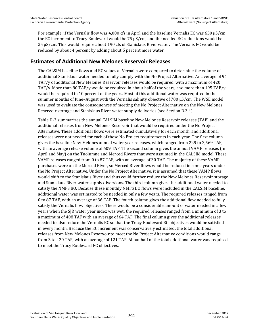For example, if the Vernalis flow was 4,000 cfs in April and the baseline Vernalis EC was 650 µS/cm, the EC increment to Tracy Boulevard would be 75 µS/cm, and the needed EC reductions would be 25 µS/cm. This would require about 190 cfs of Stanislaus River water. The Vernalis EC would be reduced by about 4 percent by adding about 5 percent more water.

#### **Estimates of Additional New Melones Reservoir Releases**

The CALSIM baseline flows and EC values at Vernalis were compared to determine the volume of additional Stanislaus water needed to fully comply with the No Project Alternative. An average of 91 TAF/y of additional New Melones Reservoir releases would be required, with a maximum of 420 TAF/y. More than 80 TAF/y would be required in about half of the years, and more than 195 TAF/y would be required in 10 percent of the years. Most of this additional water was required in the summer months of June–August with the Vernalis salinity objective of 700 µS/cm. The WSE model was used to evaluate the consequences of meeting the No Project Alternative on the New Melones Reservoir storage and Stanislaus River water supply deliveries (see Section D.3.4).

Table D-3 summarizes the annual CALSIM baseline New Melones Reservoir releases (TAF) and the additional releases from New Melones Reservoir that would be required under the No Project Alternative. These additional flows were estimated cumulatively for each month, and additional releases were not needed for each of these No Project requirements in each year. The first column gives the baseline New Melones annual water year releases, which ranged from 229 to 2,569 TAF, with an average release volume of 609 TAF. The second column gives the annual VAMP releases (in April and May) on the Tuolumne and Merced Rivers that were assumed in the CALSIM model. These VAMP releases ranged from 0 to 87 TAF, with an average of 30 TAF. The majority of these VAMP purchases were on the Merced River, so Merced River flows would be reduced in some years under the No Project Alternative. Under the No Project Alternative, it is assumed that these VAMP flows would shift to the Stanislaus River and thus could further reduce the New Melones Reservoir storage and Stanislaus River water supply diversions. The third column gives the additional water needed to satisfy the NMFS BO. Because these monthly NMFS BO flows were included in the CALSIM baseline, additional water was estimated to be needed in only a few years. The required releases ranged from 0 to 87 TAF, with an average of 36 TAF. The fourth column gives the additional flow needed to fully satisfy the Vernalis flow objectives. There would be a considerable amount of water needed in a few years when the SJR water year index was wet; the required releases ranged from a minimum of 3 to a maximum of 408 TAF with an average of 64 TAF. The final column gives the additional releases needed to also reduce the Vernalis EC so that the Tracy Boulevard EC objectives would be satisfied in every month. Because the EC increment was conservatively estimated, the total additional releases from New Melones Reservoir to meet the No Project Alternative conditions would range from 3 to 420 TAF, with an average of 121 TAF. About half of the total additional water was required to meet the Tracy Boulevard EC objectives.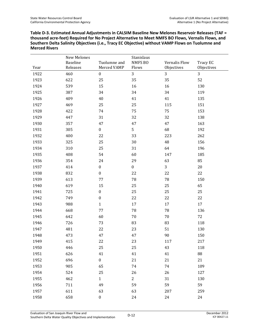**Table D-3. Estimated Annual Adjustments in CALSIM Baseline New Melones Reservoir Releases (TAF = thousand acre-feet) Required for No Project Alternative to Meet NMFS BO Flows, Vernalis Flows, and Southern Delta Salinity Objectives (i.e., Tracy EC Objective) without VAMP Flows on Tuolumne and Merced Rivers** 

|      | New Melones          |                             | Stanislaus       |                             |                        |
|------|----------------------|-----------------------------|------------------|-----------------------------|------------------------|
| Year | Baseline<br>Releases | Tuolumne and<br>Merced VAMP | NMFS BO<br>Flows | Vernalis Flow<br>Objectives | Tracy EC<br>Objectives |
| 1922 | 460                  | $\boldsymbol{0}$            | 3                | 3                           | 3                      |
| 1923 | 622                  | 25                          | 35               | 35                          | 52                     |
|      |                      | 15                          |                  |                             |                        |
| 1924 | 539                  |                             | 16               | 16                          | 130                    |
| 1925 | 387                  | 34                          | 34               | 34                          | 119                    |
| 1926 | 409                  | 40                          | 41               | 41                          | 135                    |
| 1927 | 469                  | 25                          | 25               | 115                         | 151                    |
| 1928 | 422                  | 74                          | 75               | 75                          | 153                    |
| 1929 | 447                  | 31                          | 32               | 32                          | 138                    |
| 1930 | 357                  | 47                          | 47               | 47                          | 163                    |
| 1931 | 305                  | $\boldsymbol{0}$            | 5                | 68                          | 192                    |
| 1932 | 400                  | 22                          | 33               | 223                         | 262                    |
| 1933 | 325                  | 25                          | 30               | $\rm 48$                    | 156                    |
| 1934 | 310                  | 25                          | 31               | 64                          | 196                    |
| 1935 | 408                  | 54                          | 60               | 147                         | 185                    |
| 1936 | 354                  | 24                          | 29               | 63                          | 85                     |
| 1937 | 414                  | $\boldsymbol{0}$            | $\boldsymbol{0}$ | 3                           | $20\,$                 |
| 1938 | 832                  | $\boldsymbol{0}$            | 22               | 22                          | 22                     |
| 1939 | 613                  | 77                          | 78               | 78                          | 150                    |
| 1940 | 619                  | 15                          | 25               | 25                          | 65                     |
| 1941 | 725                  | $\boldsymbol{0}$            | 25               | 25                          | 25                     |
| 1942 | 749                  | $\boldsymbol{0}$            | 22               | 22                          | 22                     |
| 1943 | 988                  | $\mathbf{1}$                | 17               | $17\,$                      | 17                     |
| 1944 | 668                  | 77                          | 78               | 78                          | 136                    |
| 1945 | 642                  | 60                          | $70\,$           | 70                          | 72                     |
| 1946 | 726                  | 73                          | 83               | 83                          | 118                    |
| 1947 | 481                  | 22                          | 23               | 51                          | 130                    |
| 1948 | 473                  | 47                          | 47               | 90                          | 150                    |
| 1949 | 415                  | 22                          | 23               | 117                         | 217                    |
| 1950 | 446                  | 25                          | 25               | 43                          | 118                    |
| 1951 | 626                  | 41                          | 41               | 41                          | 88                     |
| 1952 | 696                  | $\boldsymbol{0}$            | 21               | 21                          | 21                     |
| 1953 | 905                  | 65                          | 74               | 74                          | 109                    |
| 1954 | 524                  | 25                          | 26               | 26                          | 127                    |
| 1955 | 462                  | $\mathbf{1}$                | $\overline{2}$   | 31                          | 130                    |
| 1956 | 711                  | 49                          | 59               | 59                          | 59                     |
| 1957 | 611                  | 63                          | 63               | 207                         | 259                    |
| 1958 | 658                  | $\boldsymbol{0}$            | 24               | 24                          | 24                     |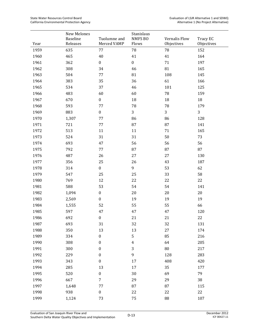|      | New Melones<br>Baseline | Tuolumne and     | Stanislaus<br><b>NMFS BO</b> | Vernalis Flow | Tracy EC   |
|------|-------------------------|------------------|------------------------------|---------------|------------|
| Year | Releases                | Merced VAMP      | Flows                        | Objectives    | Objectives |
| 1959 | 635                     | 77               | 78                           | 78            | 152        |
| 1960 | 465                     | $40\,$           | 41                           | 41            | 164        |
| 1961 | 362                     | $\boldsymbol{0}$ | $\boldsymbol{0}$             | 71            | 197        |
| 1962 | 308                     | 34               | 46                           | 81            | 165        |
| 1963 | 504                     | 77               | 81                           | 108           | 145        |
| 1964 | 383                     | 35               | 36                           | 61            | 166        |
| 1965 | 534                     | 37               | 46                           | 101           | 125        |
| 1966 | 483                     | 60               | 60                           | ${\bf 78}$    | 159        |
| 1967 | 670                     | $\boldsymbol{0}$ | 18                           | $18\,$        | $18\,$     |
| 1968 | 593                     | 77               | 78                           | 78            | 179        |
| 1969 | 883                     | $\boldsymbol{0}$ | 3                            | 3             | 3          |
| 1970 | 1,307                   | 77               | 86                           | 86            | 128        |
| 1971 | 721                     | 77               | 87                           | 87            | 141        |
| 1972 | 513                     | 11               | 11                           | 71            | 165        |
| 1973 | 524                     | 31               | 31                           | 50            | 73         |
| 1974 | 693                     | 47               | 56                           | 56            | 56         |
| 1975 | 792                     | 77               | 87                           | 87            | 87         |
| 1976 | 487                     | 26               | 27                           | 27            | 130        |
| 1977 | 356                     | 25               | 26                           | 43            | 187        |
| 1978 | 314                     | $\boldsymbol{0}$ | 9                            | 53            | 62         |
| 1979 | 547                     | 25               | 25                           | 33            | 58         |
| 1980 | 769                     | 12               | 22                           | 22            | 22         |
| 1981 | 588                     | 53               | 54                           | 54            | 141        |
| 1982 | 1,094                   | $\boldsymbol{0}$ | 20                           | $20\,$        | $20\,$     |
| 1983 | 2,569                   | $\boldsymbol{0}$ | 19                           | 19            | 19         |
| 1984 | 1,555                   | 52               | 55                           | 55            | 66         |
| 1985 | 597                     | 47               | 47                           | 47            | 120        |
| 1986 | 692                     | $\boldsymbol{0}$ | 21                           | 21            | 22         |
| 1987 | 693                     | 31               | 32                           | 32            | 131        |
| 1988 | 350                     | 13               | 13                           | 27            | 174        |
| 1989 | 334                     | $\boldsymbol{0}$ | $\mathsf S$                  | 85            | 216        |
| 1990 | 308                     | $\boldsymbol{0}$ | $\pmb{4}$                    | 64            | 205        |
| 1991 | 300                     | $\boldsymbol{0}$ | 3                            | 80            | 217        |
| 1992 | 229                     | $\boldsymbol{0}$ | 9                            | 128           | 283        |
| 1993 | 343                     | $\boldsymbol{0}$ | 17                           | 408           | 420        |
| 1994 | 285                     | 13               | 17                           | 35            | 177        |
| 1995 | 520                     | $\boldsymbol{0}$ | $30\,$                       | 69            | 79         |
| 1996 | 667                     | 7                | 29                           | 29            | 38         |
| 1997 | 1,648                   | 77               | 87                           | 87            | 115        |
| 1998 | 938                     | $\boldsymbol{0}$ | 22                           | 22            | 22         |
| 1999 | 1,124                   | 73               | 75                           | 88            | 107        |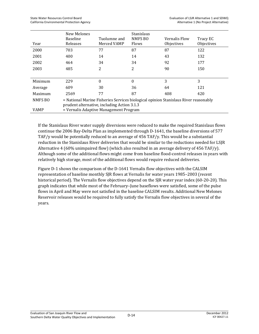|             | New Melones<br><b>Baseline</b>                                                                                                     | Tuolumne and | Stanislaus<br>NMFS BO | Vernalis Flow | Tracy EC   |  |  |  |  |
|-------------|------------------------------------------------------------------------------------------------------------------------------------|--------------|-----------------------|---------------|------------|--|--|--|--|
| Year        | Releases                                                                                                                           | Merced VAMP  | Flows                 | Objectives    | Objectives |  |  |  |  |
| 2000        | 703                                                                                                                                | 77           | 87                    | 87            | 122        |  |  |  |  |
| 2001        | 400                                                                                                                                | 14           | 14                    | 43            | 132        |  |  |  |  |
| 2002        | 464                                                                                                                                | 34           | 34                    | 92            | 177        |  |  |  |  |
| 2003        | 485                                                                                                                                | 2            | 2                     | 90            | 150        |  |  |  |  |
|             |                                                                                                                                    |              |                       |               |            |  |  |  |  |
| Minimum     | 229                                                                                                                                | $\theta$     | $\theta$              | 3             | 3          |  |  |  |  |
| Average     | 609                                                                                                                                | 30           | 36                    | 64            | 121        |  |  |  |  |
| Maximum     | 2569                                                                                                                               | 77           | 87                    | 408           | 420        |  |  |  |  |
| NMFS BO     | = National Marine Fisheries Services biological opinion Stanislaus River reasonably<br>prudent alternative, including Action 3.1.3 |              |                       |               |            |  |  |  |  |
| <b>VAMP</b> | = Vernalis Adaptive Management Program                                                                                             |              |                       |               |            |  |  |  |  |

If the Stanislaus River water supply diversions were reduced to make the required Stanislaus flows continue the 2006 Bay-Delta Plan as implemented through D-1641, the baseline diversions of 577 TAF/y would be potentially reduced to an average of 456 TAF/y. This would be a substantial reduction in the Stanislaus River deliveries that would be similar to the reductions needed for LSJR Alternative 4 (60% unimpaired flow) (which also resulted in an average delivery of 456 TAF/y). Although some of the additional flows might come from baseline flood-control releases in years with relatively high storage, most of the additional flows would require reduced deliveries.

Figure D-1 shows the comparison of the D-1641 Vernalis flow objectives with the CALSIM representation of baseline monthly SJR flows at Vernalis for water years 1985–2003 (recent historical period). The Vernalis flow objectives depend on the SJR water year index (60-20-20). This graph indicates that while most of the February–June baseflows were satisfied, some of the pulse flows in April and May were not satisfied in the baseline CALSIM results. Additional New Melones Reservoir releases would be required to fully satisfy the Vernalis flow objectives in several of the years.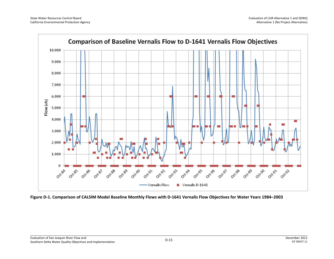

**Figure D-1. Comparison of CALSIM Model Baseline Monthly Flows with D-1641 Vernalis Flow Objectives for Water Years 1984–2003**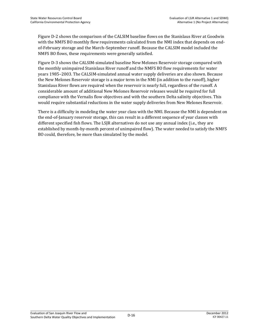Figure D-2 shows the comparison of the CALSIM baseline flows on the Stanislaus River at Goodwin with the NMFS BO monthly flow requirements calculated from the NMI index that depends on endof-February storage and the March–September runoff. Because the CALSIM model included the NMFS BO flows, these requirements were generally satisfied.

Figure D-3 shows the CALSIM-simulated baseline New Melones Reservoir storage compared with the monthly unimpaired Stanislaus River runoff and the NMFS BO flow requirements for water years 1985–2003. The CALSIM-simulated annual water supply deliveries are also shown. Because the New Melones Reservoir storage is a major term in the NMI (in addition to the runoff), higher Stanislaus River flows are required when the reservoir is nearly full, regardless of the runoff. A considerable amount of additional New Melones Reservoir releases would be required for full compliance with the Vernalis flow objectives and with the southern Delta salinity objectives. This would require substantial reductions in the water supply deliveries from New Melones Reservoir.

There is a difficulty in modeling the water year class with the NMI. Because the NMI is dependent on the end-of-January reservoir storage, this can result in a different sequence of year classes with different specified fish flows. The LSJR alternatives do not use any annual index (i.e., they are established by month-by-month percent of unimpaired flow). The water needed to satisfy the NMFS BO could, therefore, be more than simulated by the model.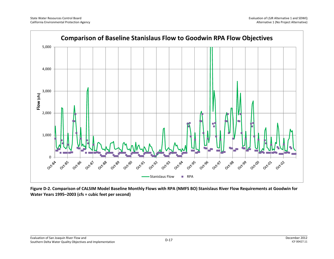

**Figure D-2. Comparison of CALSIM Model Baseline Monthly Flows with RPA (NMFS BO) Stanislaus River Flow Requirements at Goodwin for Water Years 1995–2003 (cfs = cubic feet per second)**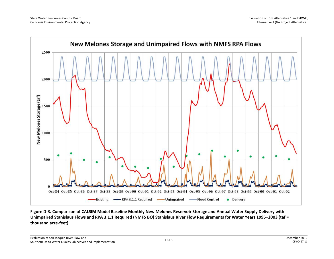

**Figure D-3. Comparison of CALSIM Model Baseline Monthly New Melones Reservoir Storage and Annual Water Supply Delivery with Unimpaired Stanislaus Flows and RPA 3.1.1 Required (NMFS BO) Stanislaus River Flow Requirements for Water Years 1995–2003 (taf = thousand acre-feet)**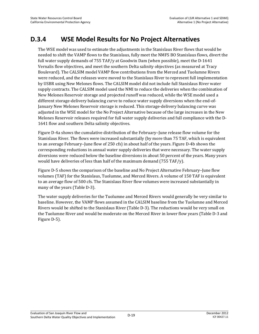### **D.3.4 WSE Model Results for No Project Alternatives**

The WSE model was used to estimate the adjustments in the Stanislaus River flows that would be needed to shift the VAMP flows to the Stanislaus, fully meet the NMFS BO Stanislaus flows, divert the full water supply demands of 755 TAF/y at Goodwin Dam (when possible), meet the D-1641 Vernalis flow objectives, and meet the southern Delta salinity objectives (as measured at Tracy Boulevard). The CALSIM model VAMP flow contributions from the Merced and Tuolumne Rivers were reduced, and the releases were moved to the Stanislaus River to represent full implementation by USBR using New Melones flows. The CALSIM model did not include full Stanislaus River water supply contracts. The CALSIM model used the NMI to reduce the deliveries when the combination of New Melones Reservoir storage and projected runoff was reduced, while the WSE model used a different storage-delivery balancing curve to reduce water supply diversions when the end-of-January New Melones Reservoir storage is reduced. This storage-delivery balancing curve was adjusted in the WSE model for the No Project Alternative because of the large increases in the New Melones Reservoir releases required for full water supply deliveries and full compliance with the D-1641 flow and southern Delta salinity objectives.

Figure D-4a shows the cumulative distribution of the February–June release flow volume for the Stanislaus River. The flows were increased substantially (by more than 75 TAF, which is equivalent to an average February–June flow of 250 cfs) in about half of the years. Figure D-4b shows the corresponding reductions in annual water supply deliveries that were necessary. The water supply diversions were reduced below the baseline diversions in about 50 percent of the years. Many years would have deliveries of less than half of the maximum demand (755 TAF/y).

Figure D-5 shows the comparison of the baseline and No Project Alternative February–June flow volumes (TAF) for the Stanislaus, Tuolumne, and Merced Rivers. A volume of 150 TAF is equivalent to an average flow of 500 cfs. The Stanislaus River flow volumes were increased substantially in many of the years (Table D-3).

The water supply deliveries for the Tuolumne and Merced Rivers would generally be very similar to baseline. However, the VAMP flows assumed in the CALSIM baseline from the Tuolumne and Merced Rivers would be shifted to the Stanislaus River (Table D-3). The reductions would be very small on the Tuolumne River and would be moderate on the Merced River in lower flow years (Table D-3 and Figure D-5).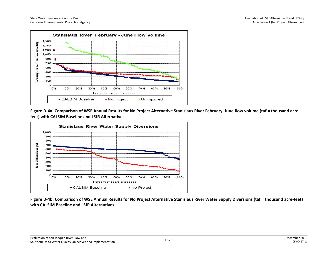

**Figure D-4a. Comparison of WSE Annual Results for No Project Alternative Stanislaus River February–June flow volume (taf = thousand acre feet) with CALSIM Baseline and LSJR Alternatives**



**Figure D-4b. Comparison of WSE Annual Results for No Project Alternative Stanislaus River Water Supply Diversions (taf = thousand acre-feet) with CALSIM Baseline and LSJR Alternatives**